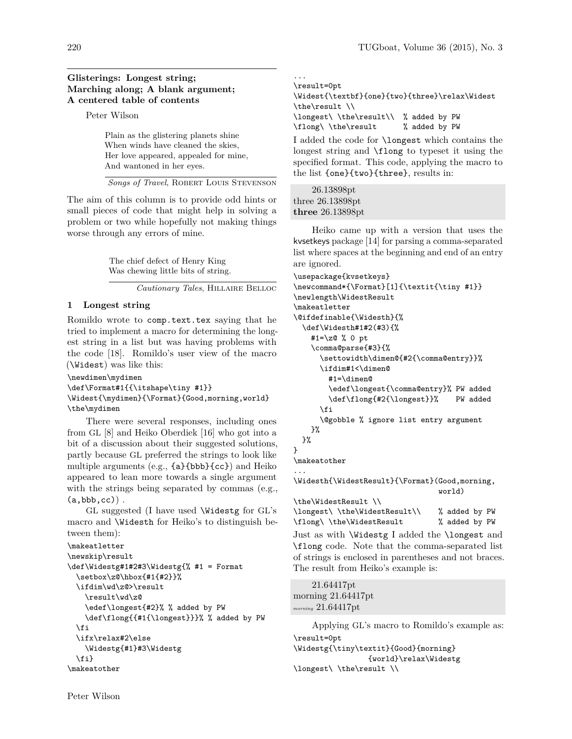## **Glisterings: Longest string; Marching along; A blank argument; A centered table of contents**

Peter Wilson

Plain as the glistering planets shine When winds have cleaned the skies, Her love appeared, appealed for mine, And wantoned in her eyes.

*Songs of Travel*, Robert Louis Stevenson

The aim of this column is to provide odd hints or small pieces of code that might help in solving a problem or two while hopefully not making things worse through any errors of mine.

> The chief defect of Henry King Was chewing little bits of string.

> > *Cautionary Tales*, Hillaire Belloc

#### **1 Longest string**

Romildo wrote to comp.text.tex saying that he tried to implement a macro for determining the longest string in a list but was having problems with the code [18]. Romildo's user view of the macro (\Widest) was like this:

\newdimen\mydimen \def\Format#1{{\itshape\tiny #1}} \Widest{\mydimen}{\Format}{Good,morning,world} \the\mydimen

There were several responses, including ones from GL [8] and Heiko Oberdiek [16] who got into a bit of a discussion about their suggested solutions, partly because GL preferred the strings to look like multiple arguments (e.g., {a}{bbb}{cc}) and Heiko appeared to lean more towards a single argument with the strings being separated by commas (e.g.,  $(a, bbb, cc)$ .

GL suggested (I have used \Widestg for GL's macro and \Widesth for Heiko's to distinguish between them):

```
\makeatletter
\newskip\result
\def\Widestg#1#2#3\Widestg{% #1 = Format
 \setbox\z@\hbox{#1{#2}}%
 \ifdim\wd\z@>\result
   \result\wd\z@
   \edef\longest{#2}% % added by PW
   \def\flong{{#1{\longest}}}% % added by PW
 \fi
  \ifx\relax#2\else
   \Widestg{#1}#3\Widestg
 \fi}
\makeatother
```
... \result=0pt \Widest{\textbf}{one}{two}{three}\relax\Widest \the\result \\ \longest\ \the\result\\ % added by PW \flong\ \the\result % added by PW

I added the code for \longest which contains the longest string and \flong to typeset it using the specified format. This code, applying the macro to the list {one}{two}{three}, results in:

26.13898pt three 26.13898pt **three** 26.13898pt

Heiko came up with a version that uses the kvsetkeys package [14] for parsing a comma-separated list where spaces at the beginning and end of an entry are ignored.

```
\usepackage{kvsetkeys}
\newcommand*{\Format}[1]{\textit{\tiny #1}}
\newlength\WidestResult
\makeatletter
\@ifdefinable{\Widesth}{%
 \def\Widesth#1#2(#3){%
   #1=\z@ % 0 pt
   \comma@parse{#3}{%
      \settowidth\dimen@{#2{\comma@entry}}%
      \ifdim#1<\dimen@
        #1=\dimen@
        \edef\longest{\comma@entry}% PW added
        \def\flong{#2{\longest}}% PW added
      \eta\@gobble % ignore list entry argument
   }%
 }%
}
\makeatother
...
\Widesth{\WidestResult}{\Format}(Good,morning,
```
world)

| \the\WidestResult \\         |               |  |
|------------------------------|---------------|--|
| \longest\\the\WidestResult\\ | % added by PW |  |
| \flong\\the\WidestResult     | % added by PW |  |

Just as with \Widestg I added the \longest and \flong code. Note that the comma-separated list of strings is enclosed in parentheses and not braces. The result from Heiko's example is:

21.64417pt morning 21.64417pt *morning* 21.64417pt

Applying GL's macro to Romildo's example as: \result=0pt \Widestg{\tiny\textit}{Good}{morning} {world}\relax\Widestg \longest\ \the\result \\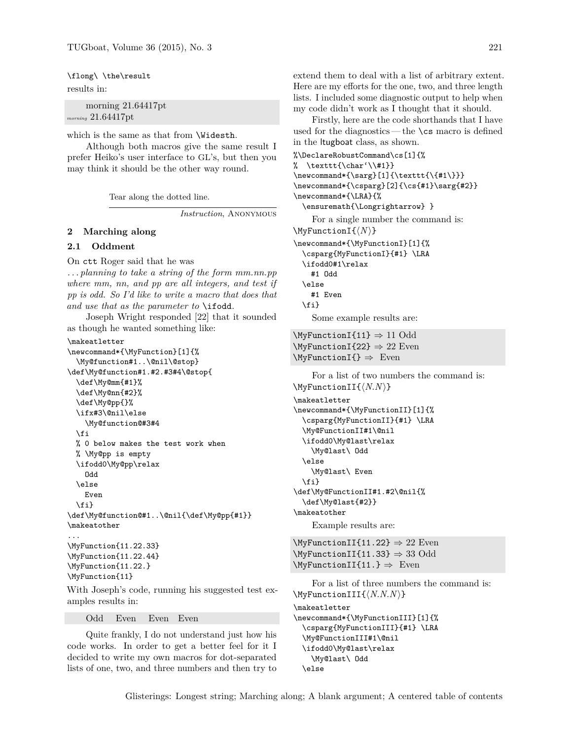\flong\ \the\result

results in:

morning 21.64417pt *morning* 21.64417pt

which is the same as that from \Widesth.

Although both macros give the same result I prefer Heiko's user interface to GL's, but then you may think it should be the other way round.

Tear along the dotted line.

*Instruction*, Anonymous

## **2 Marching along**

## **2.1 Oddment**

On ctt Roger said that he was

*. . . planning to take a string of the form mm.nn.pp where mm, nn, and pp are all integers, and test if pp is odd. So I'd like to write a macro that does that and use that as the parameter to* \ifodd*.*

Joseph Wright responded [22] that it sounded as though he wanted something like:

```
\makeatletter
\newcommand*{\MyFunction}[1]{%
 \My@function#1..\@nil\@stop}
\def\My@function#1.#2.#3#4\@stop{
 \def\My@mm{#1}%
 \def\My@nn{#2}%
 \def\My@pp{}%
 \ifx#3\@nil\else
    \My@function@#3#4
 \fi
 % 0 below makes the test work when
 % \My@pp is empty
 \ifodd0\My@pp\relax
   Odd
  \else
   Even
 \fi}
\def\My@function@#1..\@nil{\def\My@pp{#1}}
\makeatother
...
\MyFunction{11.22.33}
\MyFunction{11.22.44}
\MyFunction{11.22.}
\MyFunction{11}
```
With Joseph's code, running his suggested test examples results in:

Odd Even Even Even

Quite frankly, I do not understand just how his code works. In order to get a better feel for it I decided to write my own macros for dot-separated lists of one, two, and three numbers and then try to

extend them to deal with a list of arbitrary extent. Here are my efforts for the one, two, and three length lists. I included some diagnostic output to help when my code didn't work as I thought that it should.

Firstly, here are the code shorthands that I have used for the diagnostics— the \cs macro is defined in the ltugboat class, as shown. %\DeclareRobustCommand\cs[1]{% % \texttt{\char'\\#1}}  $\newcommand*{\sarg}[1]{\texttt{{\{#1}}}}$ \newcommand\*{\csparg}[2]{\cs{#1}\sarg{#2}} \newcommand\*{\LRA}{% \ensuremath{\Longrightarrow} } For a single number the command is:  $\MyFunctionI({N})$ \newcommand\*{\MyFunctionI}[1]{% \csparg{MyFunctionI}{#1} \LRA \ifodd0#1\relax

#1 Odd \else #1 Even  $\{f_i\}$ Some example results are:

 $\M$ yFunctionI{11}  $\Rightarrow$  11 Odd  $\M{yFunctionI{22} \Rightarrow 22 \to \n}$  $\M$ yFunctionI{}  $\Rightarrow$  Even

```
For a list of two numbers the command is:
\MyFunctionII\{N.N\}\makeatletter
\newcommand*{\MyFunctionII}[1]{%
  \csparg{MyFunctionII}{#1} \LRA
  \My@FunctionII#1\@nil
 \ifodd0\My@last\relax
    \My@last\ Odd
  \else
    \My@last\ Even
  \{f_i\}\def\My@FunctionII#1.#2\@nil{%
  \def\My@last{#2}}
\makeatother
    Example results are:
```
\MyFunctionII{11.22} ⇒ 22 Even \MyFunctionII{11.33} ⇒ 33 Odd \MyFunctionII{11.} ⇒ Even

For a list of three numbers the command is:  $\MyFunctionIII{\langle N.N.N\rangle\}$ \makeatletter \newcommand\*{\MyFunctionIII}[1]{% \csparg{MyFunctionIII}{#1} \LRA \My@FunctionIII#1\@nil \ifodd0\My@last\relax \My@last\ Odd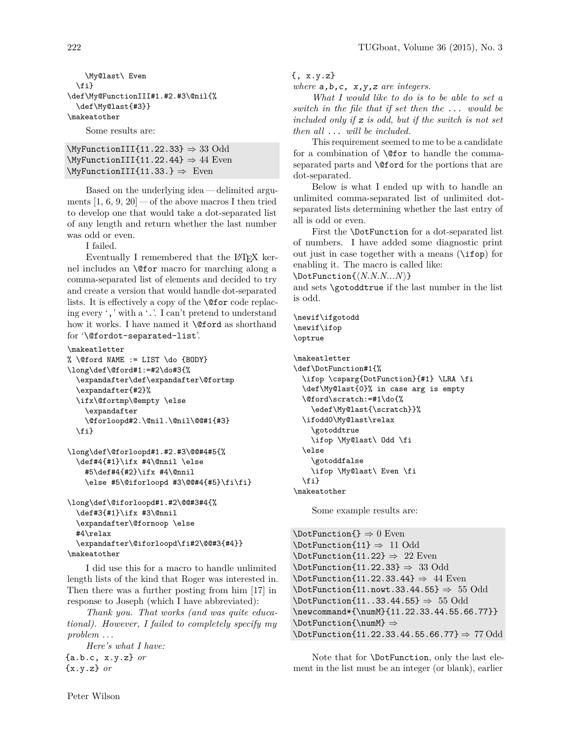\My@last\ Even \fi} \def\My@FunctionIII#1.#2.#3\@nil{% \def\My@last{#3}} \makeatother

Some results are:

```
\MyFunctionIII{11.22.33} ⇒ 33 Odd
\MyFunctionIII{11.22.44} \Rightarrow 44 Even
\MyFunctionIII{11.33.} ⇒ Even
```
Based on the underlying idea — delimited arguments  $[1, 6, 9, 20]$  — of the above macros I then tried to develop one that would take a dot-separated list of any length and return whether the last number was odd or even.

I failed.

Eventually I remembered that the LATEX kernel includes an \@for macro for marching along a comma-separated list of elements and decided to try and create a version that would handle dot-separated lists. It is effectively a copy of the \@for code replacing every ',' with a '.'. I can't pretend to understand how it works. I have named it \@ford as shorthand for '\@fordot-separated-list'.

```
\makeatletter
```

```
% \@ford NAME := LIST \do {BODY}
\long\def\@ford#1:=#2\do#3{%
  \expandafter\def\expandafter\@fortmp
  \expandafter{#2}%
  \ifx\@fortmp\@empty \else
    \expandafter
    \@forloopd#2.\@nil.\@nil\@@#1{#3}
  \fi}
```

```
\long\def\@forloopd#1.#2.#3\@@#4#5{%
  \def#4{#1}\ifx #4\@nnil \else
    #5\def#4{#2}\ifx #4\@nnil
    \else #5\@iforloopd #3\@@#4{#5}\fi\fi}
```

```
\long\def\@iforloopd#1.#2\@@#3#4{%
  \def#3{#1}\ifx #3\@nnil
  \expandafter\@fornoop \else
  #4\relax
  \expandafter\@iforloopd\fi#2\@@#3{#4}}
\makeatother
```
I did use this for a macro to handle unlimited length lists of the kind that Roger was interested in. Then there was a further posting from him [17] in response to Joseph (which I have abbreviated):

*Thank you. That works (and was quite educational). However, I failed to completely specify my problem . . .*

*Here's what I have:* {a.b.c, x.y.z} *or* {x.y.z} *or*

{, x.y.z}

*where* a,b,c, x,y,z *are integers.*

*What I would like to do is to be able to set a switch in the file that if set then the ... would be included only if* z *is odd, but if the switch is not set then all ... will be included.*

This requirement seemed to me to be a candidate for a combination of \@for to handle the commaseparated parts and \@ford for the portions that are dot-separated.

Below is what I ended up with to handle an unlimited comma-separated list of unlimited dotseparated lists determining whether the last entry of all is odd or even.

First the \DotFunction for a dot-separated list of numbers. I have added some diagnostic print out just in case together with a means (\ifop) for enabling it. The macro is called like:

```
\{\Delta N.N.N. N.\}
```
and sets \gotoddtrue if the last number in the list is odd.

\newif\ifgotodd \newif\ifop \optrue

```
\makeatletter
\def\DotFunction#1{%
 \ifop \csparg{DotFunction}{#1} \LRA \fi
  \def\My@last{0}% in case arg is empty
 \@ford\scratch:=#1\do{%
    \edef\My@last{\scratch}}%
 \ifodd0\My@last\relax
    \gotoddtrue
   \ifop \My@last\ Odd \fi
  \else
    \gotoddfalse
   \ifop \My@last\ Even \fi
 \fi}
\makeatother
```
Some example results are:

 $\Delta$  > 0 Even  $\Delta$ PotFunction{11}  $\Rightarrow$  11 Odd  $\Delta$ 1.22}  $\Rightarrow$  22 Even  $\Delta 33$   $\Rightarrow$  33 Odd  $\Delta 44$  Even  $\Delta$ DotFunction{11.nowt.33.44.55}  $\Rightarrow$  55 Odd  $\Delta 11.33.44.55$   $\Rightarrow$  55 Odd \newcommand\*{\numM}{11.22.33.44.55.66.77}} \DotFunction{\numM} ⇒ \DotFunction{11.22.33.44.55.66.77} ⇒ 77 Odd

Note that for \DotFunction, only the last element in the list must be an integer (or blank), earlier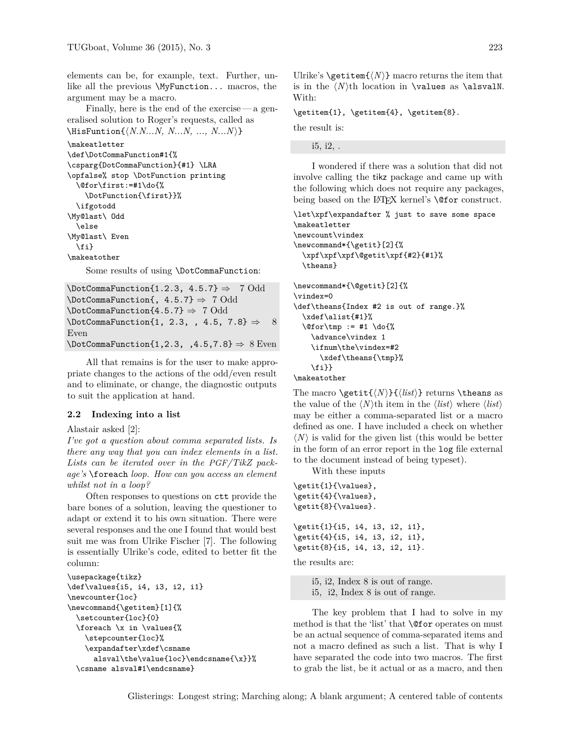elements can be, for example, text. Further, unlike all the previous \MyFunction... macros, the argument may be a macro.

Finally, here is the end of the exercise—a generalised solution to Roger's requests, called as  $\H\text{HisFuntion}\{N.N...N, N...N, ..., N...N\}$ 

```
\makeatletter
\def\DotCommaFunction#1{%
\csparg{DotCommaFunction}{#1} \LRA
\opfalse% stop \DotFunction printing
  \@for\first:=#1\do{%
    \DotFunction{\first}}%
  \ifgotodd
\My@last\ Odd
  \else
\My@last\ Even
  \fi}
\makeatother
```
Some results of using \DotCommaFunction:

 $\Delta$ Function{1.2.3, 4.5.7}  $\Rightarrow$  7 Odd \DotCommaFunction{, 4.5.7} ⇒ 7 Odd \DotCommaFunction{4.5.7} ⇒ 7 Odd  $\Delta$ Function{1, 2.3, , 4.5, 7.8}  $\Rightarrow$  8 Even  $\Delta$ Function{1,2.3, ,4.5,7.8}  $\Rightarrow$  8 Even

All that remains is for the user to make appropriate changes to the actions of the odd/even result and to eliminate, or change, the diagnostic outputs to suit the application at hand.

## **2.2 Indexing into a list**

Alastair asked [2]:

```
I've got a question about comma separated lists. Is
there any way that you can index elements in a list.
Lists can be iterated over in the PGF/TikZ pack-
age's \foreach loop. How can you access an element
whilst not in a loop?
```
Often responses to questions on ctt provide the bare bones of a solution, leaving the questioner to adapt or extend it to his own situation. There were several responses and the one I found that would best suit me was from Ulrike Fischer [7]. The following is essentially Ulrike's code, edited to better fit the column:

```
\usepackage{tikz}
\def\values{i5, i4, i3, i2, i1}
\newcounter{loc}
\newcommand{\getitem}[1]{%
  \setcounter{loc}{0}
  \foreach \x in \values{%
    \stepcounter{loc}%
    \expandafter\xdef\csname
      alsval\the\value{loc}\endcsname{\x}}%
  \csname alsval#1\endcsname}
```
Ulrike's \getitem $\{\langle N \rangle\}$  macro returns the item that is in the  $\langle N\rangle$ th location in **\values** as **\alsvalN**. With:

\getitem{1}, \getitem{4}, \getitem{8}.

the result is:

i5, i2, .

I wondered if there was a solution that did not involve calling the tikz package and came up with the following which does not require any packages, being based on the LAT<sub>EX</sub> kernel's **\@for** construct.

\let\xpf\expandafter % just to save some space \makeatletter \newcount\vindex \newcommand\*{\getit}[2]{% \xpf\xpf\xpf\@getit\xpf{#2}{#1}% \theans} \newcommand\*{\@getit}[2]{% \vindex=0 \def\theans{Index #2 is out of range.}% \xdef\alist{#1}% \@for\tmp := #1 \do{% \advance\vindex 1 \ifnum\the\vindex=#2 \xdef\theans{\tmp}%

```
\{f_i\}\makeatother
```
The macro  $\getit{\N}{\dist}$  returns \theans as the value of the  $\langle N \rangle$ th item in the  $\langle list \rangle$  where  $\langle list \rangle$ may be either a comma-separated list or a macro defined as one. I have included a check on whether  $\langle N \rangle$  is valid for the given list (this would be better in the form of an error report in the log file external to the document instead of being typeset).

With these inputs

\getit{1}{\values}, \getit{4}{\values}, \getit{8}{\values}. \getit{1}{i5, i4, i3, i2, i1}, \getit{4}{i5, i4, i3, i2, i1}, \getit{8}{i5, i4, i3, i2, i1}.

the results are:

i5, i2, Index 8 is out of range. i5, i2, Index 8 is out of range.

The key problem that I had to solve in my method is that the 'list' that \@for operates on must be an actual sequence of comma-separated items and not a macro defined as such a list. That is why I have separated the code into two macros. The first to grab the list, be it actual or as a macro, and then

Glisterings: Longest string; Marching along; A blank argument; A centered table of contents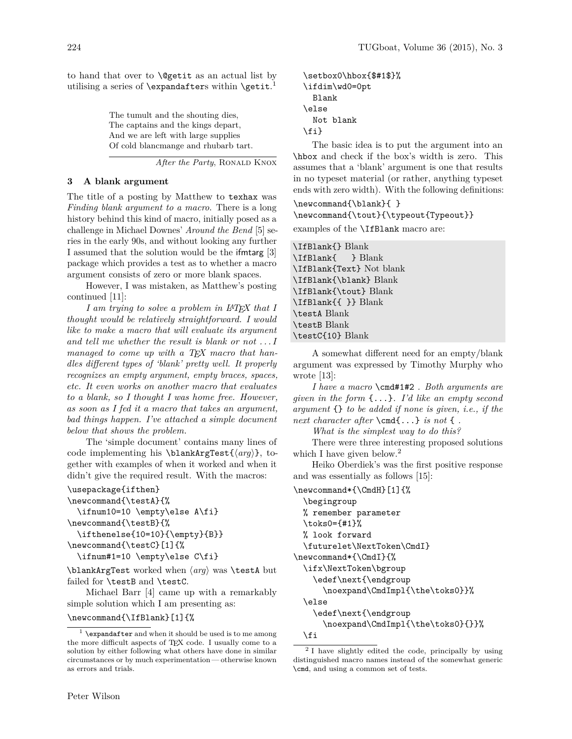to hand that over to \@getit as an actual list by utilising a series of **\expandafter**s within  $\{\text{getit.}\}$ 

> The tumult and the shouting dies, The captains and the kings depart, And we are left with large supplies Of cold blancmange and rhubarb tart.

> > After the Party, RONALD KNOX

#### **3 A blank argument**

The title of a posting by Matthew to texhax was *Finding blank argument to a macro*. There is a long history behind this kind of macro, initially posed as a challenge in Michael Downes' *Around the Bend* [5] series in the early 90s, and without looking any further I assumed that the solution would be the ifmtarg [3] package which provides a test as to whether a macro argument consists of zero or more blank spaces.

However, I was mistaken, as Matthew's posting continued [11]:

*I am trying to solve a problem in LATEX that I thought would be relatively straightforward. I would like to make a macro that will evaluate its argument and tell me whether the result is blank or not . . . I managed to come up with a TEX macro that handles different types of 'blank' pretty well. It properly recognizes an empty argument, empty braces, spaces, etc. It even works on another macro that evaluates to a blank, so I thought I was home free. However, as soon as I fed it a macro that takes an argument, bad things happen. I've attached a simple document below that shows the problem.*

The 'simple document' contains many lines of code implementing his \blankArgTest{ $\langle arg \rangle$ }, together with examples of when it worked and when it didn't give the required result. With the macros:

```
\usepackage{ifthen}
\newcommand{\testA}{%
 \ifnum10=10 \empty\else A\fi}
\newcommand{\testB}{%
 \ifthenelse{10=10}{\empty}{B}}
\newcommand{\testC}[1]{%
 \ifnum#1=10 \empty\else C\fi}
```
\blankArgTest worked when  $\langle arg \rangle$  was \testA but failed for \testB and \testC.

Michael Barr [4] came up with a remarkably simple solution which I am presenting as:

\newcommand{\IfBlank}[1]{%

```
\setbox0\hbox{$#1$}%
\ifdim\wd0=0pt
  Blank
\else
  Not blank
\fi}
```
The basic idea is to put the argument into an \hbox and check if the box's width is zero. This assumes that a 'blank' argument is one that results in no typeset material (or rather, anything typeset ends with zero width). With the following definitions:

\newcommand{\blank}{ } \newcommand{\tout}{\typeout{Typeout}}

examples of the \IfBlank macro are:

\IfBlank{} Blank \IfBlank{ } Blank \IfBlank{Text} Not blank \IfBlank{\blank} Blank \IfBlank{\tout} Blank \IfBlank{{ }} Blank \testA Blank \testB Blank \testC{10} Blank

A somewhat different need for an empty/blank argument was expressed by Timothy Murphy who wrote [13]:

*I have a macro* \cmd#1#2 *. Both arguments are given in the form* {...}*. I'd like an empty second argument* {} *to be added if none is given, i.e., if the next character after* \cmd{...} *is not* { *.*

*What is the simplest way to do this?*

There were three interesting proposed solutions which I have given below.<sup>2</sup>

Heiko Oberdiek's was the first positive response and was essentially as follows [15]:

```
\newcommand*{\CmdH}[1]{%
  \begingroup
 % remember parameter
 \toks0={#1}%
 % look forward
  \futurelet\NextToken\CmdI}
\newcommand*{\CmdI}{%
 \ifx\NextToken\bgroup
    \edef\next{\endgroup
      \noexpand\CmdImpl{\the\toks0}}%
 \else
    \edef\next{\endgroup
```
\noexpand\CmdImpl{\the\toks0}{}}%

```
\fi
```
<sup>&</sup>lt;sup>1</sup> \expandafter and when it should be used is to me among the more difficult aspects of TEX code. I usually come to a solution by either following what others have done in similar circumstances or by much experimentation — otherwise known as errors and trials.

<sup>2</sup> I have slightly edited the code, principally by using distinguished macro names instead of the somewhat generic \cmd, and using a common set of tests.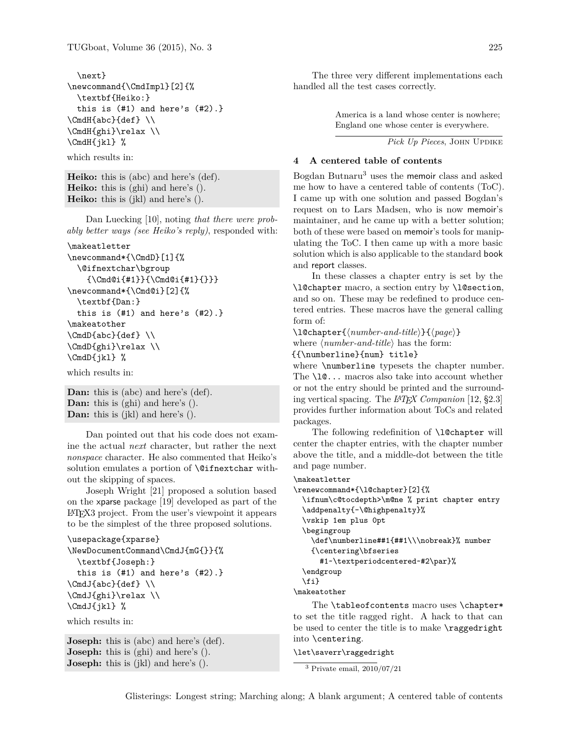```
\next}
\newcommand{\CmdImpl}[2]{%
  \textbf{Heiko:}
  this is (\#1) and here's (\#2).}
\CmdH{abc}{def} \\
\CmdH{ghi}\relax \\
\CmdH{jkl} %
which results in:
```
**Heiko:** this is (abc) and here's (def).

**Heiko:** this is (ghi) and here's (). **Heiko:** this is (jkl) and here's ().

Dan Luecking [10], noting *that there were probably better ways (see Heiko's reply)*, responded with:

```
\makeatletter
```

```
\newcommand*{\CmdD}[1]{%
  \@ifnextchar\bgroup
    {\Cmd@i{#1}}{\Cmd@i{#1}{}}}
\newcommand*{\Cmd@i}[2]{%
  \textbf{Dan:}
  this is (41) and here's (42).\makeatother
\CmdD{abc}{def} \\
\CmdD{ghi}\relax \\
\CmdD{jkl} %
```
which results in:

**Dan:** this is (abc) and here's (def). **Dan:** this is (ghi) and here's (). **Dan:** this is (jkl) and here's ().

Dan pointed out that his code does not examine the actual *next* character, but rather the next *nonspace* character. He also commented that Heiko's solution emulates a portion of **\@ifnextchar** without the skipping of spaces.

Joseph Wright [21] proposed a solution based on the xparse package [19] developed as part of the LATEX3 project. From the user's viewpoint it appears to be the simplest of the three proposed solutions.

```
\usepackage{xparse}
\NewDocumentCommand\CmdJ{mG{}}{%
  \textbf{Joseph:}
  this is (*1) and here's (*2).
\CmdJ{abc}{def} \\
\CmdJ{ghi}\relax \\
\CmdJ{jkl} %
which results in:
```

```
Joseph: this is (abc) and here's (def).
Joseph: this is (ghi) and here's ().
Joseph: this is (jkl) and here's ().
```
The three very different implementations each handled all the test cases correctly.

> America is a land whose center is nowhere; England one whose center is everywhere.

> > *Pick Up Pieces*, John Updike

# **4 A centered table of contents**

Bogdan Butnaru<sup>3</sup> uses the memoir class and asked me how to have a centered table of contents (ToC). I came up with one solution and passed Bogdan's request on to Lars Madsen, who is now memoir's maintainer, and he came up with a better solution; both of these were based on memoir's tools for manipulating the ToC. I then came up with a more basic solution which is also applicable to the standard book and report classes.

In these classes a chapter entry is set by the \l@chapter macro, a section entry by \l@section, and so on. These may be redefined to produce centered entries. These macros have the general calling form of:

\l@chapter{*\number-and-title*}}{*\page*}}

where  $\langle number-and-title \rangle$  has the form:

{{\numberline}{num} title}

where **\numberline** typesets the chapter number. The  $\lambda$ 10... macros also take into account whether or not the entry should be printed and the surrounding vertical spacing. The *LATEX Companion* [12, §2.3] provides further information about ToCs and related packages.

The following redefinition of **\l@chapter** will center the chapter entries, with the chapter number above the title, and a middle-dot between the title and page number.

#### \makeatletter

```
\renewcommand*{\l@chapter}[2]{%
  \ifnum\c@tocdepth>\m@ne % print chapter entry
  \addpenalty{-\@highpenalty}%
  \vskip 1em plus 0pt
 \begingroup
   \def\numberline##1{##1\\\nobreak}% number
   {\centering\bfseries
     #1~\textperiodcentered~#2\par}%
 \endgroup
  \fi}
\makeatother
```
The \tableofcontents macro uses \chapter\* to set the title ragged right. A hack to that can be used to center the title is to make \raggedright into \centering.

### \let\saverr\raggedright

```
3 Private email, 2010/07/21
```